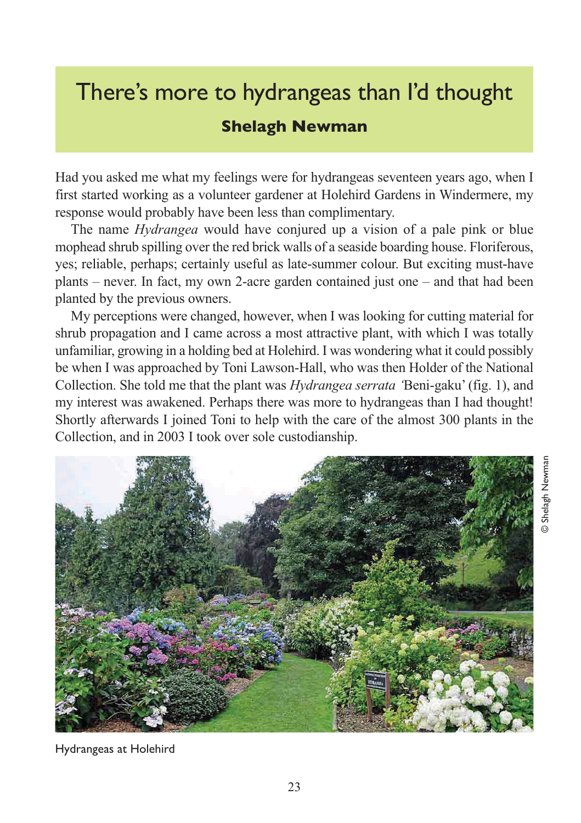## There's more to hydrangeas than I'd thought **Shelagh Newman**

Had you asked me what my feelings were for hydrangeas seventeen years ago, when I first started working as a volunteer gardener at Holehird Gardens in Windermere, my response would probably have been less than complimentary.

The name *Hydrangea* would have conjured up a vision of a pale pink or blue mophead shrub spilling over the red brick walls of a seaside boarding house. Floriferous, yes; reliable, perhaps; certainly useful as late-summer colour. But exciting must-have plants – never. In fact, my own 2-acre garden contained just one – and that had been planted by the previous owners.

My perceptions were changed, however, when I was looking for cutting material for shrub propagation and I came across a most attractive plant, with which I was totally unfamiliar, growing in a holding bed at Holehird. I was wondering what it could possibly be when I was approached by Toni Lawson-Hall, who was then Holder of the National Collection. She told me that the plant was *Hydrangea serrata '*Beni-gaku' (fig. 1), and my interest was awakened. Perhaps there was more to hydrangeas than I had thought! Shortly afterwards I joined Toni to help with the care of the almost 300 plants in the Collection, and in 2003 I took over sole custodianship.

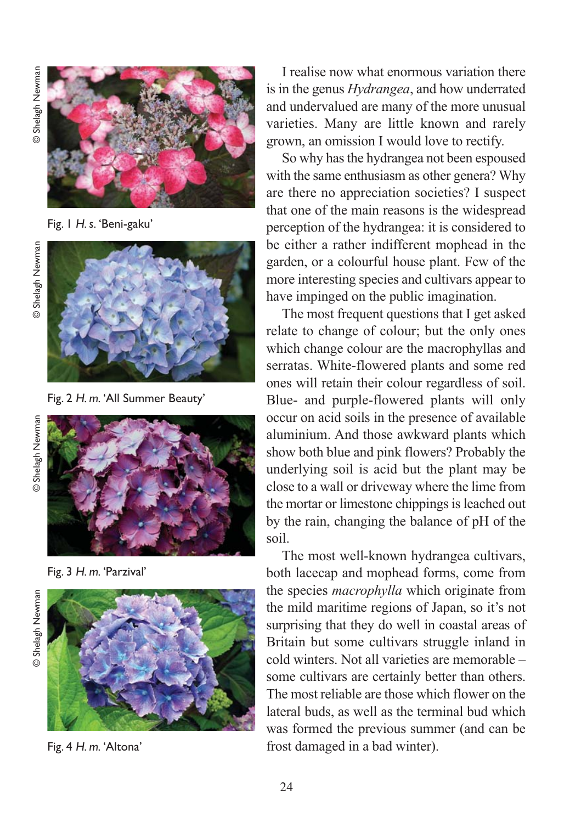Shelagh Newman © Shelagh Newman  $\odot$ 



Fig. 1 *H. s.* 'Beni-gaku'



Fig. 2 *H. m.* 'All Summer Beauty'



Fig. 3 *H. m.* 'Parzival'

© Shelagh Newman © Shelagh Newman



Fig. 4 *H. m.* 'Altona'

I realise now what enormous variation there is in the genus *Hydrangea*, and how underrated and undervalued are many of the more unusual varieties. Many are little known and rarely grown, an omission I would love to rectify.

So why has the hydrangea not been espoused with the same enthusiasm as other genera? Why are there no appreciation societies? I suspect that one of the main reasons is the widespread perception of the hydrangea: it is considered to be either a rather indifferent mophead in the garden, or a colourful house plant. Few of the more interesting species and cultivars appear to have impinged on the public imagination.

The most frequent questions that I get asked relate to change of colour; but the only ones which change colour are the macrophyllas and serratas. White-flowered plants and some red ones will retain their colour regardless of soil. Blue- and purple-flowered plants will only occur on acid soils in the presence of available aluminium. And those awkward plants which show both blue and pink flowers? Probably the underlying soil is acid but the plant may be close to a wall or driveway where the lime from the mortar or limestone chippings is leached out by the rain, changing the balance of pH of the soil.

The most well-known hydrangea cultivars, both lacecap and mophead forms, come from the species *macrophylla* which originate from the mild maritime regions of Japan, so it's not surprising that they do well in coastal areas of Britain but some cultivars struggle inland in cold winters. Not all varieties are memorable – some cultivars are certainly better than others. The most reliable are those which flower on the lateral buds, as well as the terminal bud which was formed the previous summer (and can be frost damaged in a bad winter).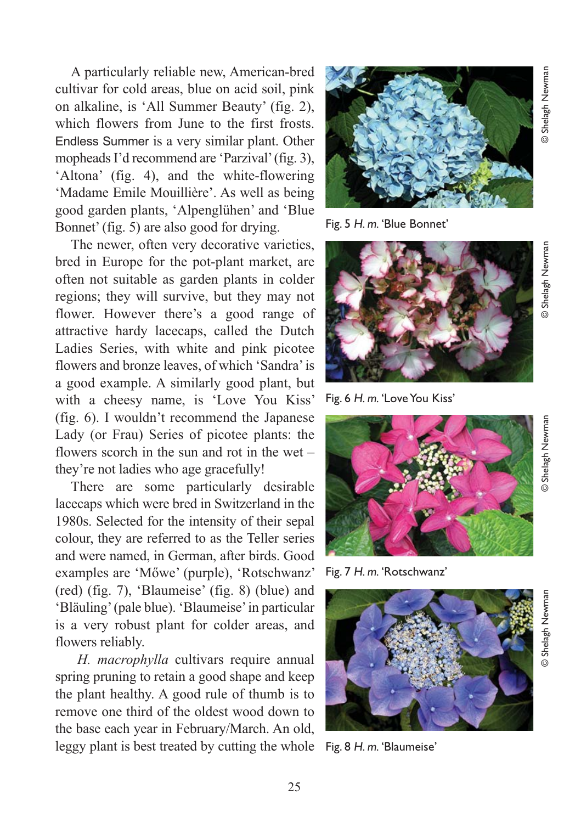A particularly reliable new, American-bred cultivar for cold areas, blue on acid soil, pink on alkaline, is 'All Summer Beauty' (fig. 2), which flowers from June to the first frosts. Endless Summer is a very similar plant. Other mopheads I'd recommend are 'Parzival' (fig. 3), 'Altona' (fig. 4), and the white-flowering 'Madame Emile Mouillière'. As well as being good garden plants, 'Alpenglühen' and 'Blue Bonnet' (fig. 5) are also good for drying.

The newer, often very decorative varieties, bred in Europe for the pot-plant market, are often not suitable as garden plants in colder regions; they will survive, but they may not flower. However there's a good range of attractive hardy lacecaps, called the Dutch Ladies Series, with white and pink picotee flowers and bronze leaves, of which 'Sandra' is a good example. A similarly good plant, but with a cheesy name, is 'Love You Kiss' (fig. 6). I wouldn't recommend the Japanese Lady (or Frau) Series of picotee plants: the flowers scorch in the sun and rot in the wet – they're not ladies who age gracefully!

There are some particularly desirable lacecaps which were bred in Switzerland in the 1980s. Selected for the intensity of their sepal colour, they are referred to as the Teller series and were named, in German, after birds. Good examples are 'Mőwe' (purple), 'Rotschwanz' (red) (fig. 7), 'Blaumeise' (fig. 8) (blue) and 'Bläuling' (pale blue). 'Blaumeise' in particular is a very robust plant for colder areas, and flowers reliably.

*H. macrophylla* cultivars require annual spring pruning to retain a good shape and keep the plant healthy. A good rule of thumb is to remove one third of the oldest wood down to the base each year in February/March. An old, leggy plant is best treated by cutting the whole Fig. 8 *H. m.* 'Blaumeise'



Fig. 5 *H. m.* 'Blue Bonnet'



Fig. 6 *H. m.* 'Love You Kiss'



Fig. 7 *H. m.* 'Rotschwanz'

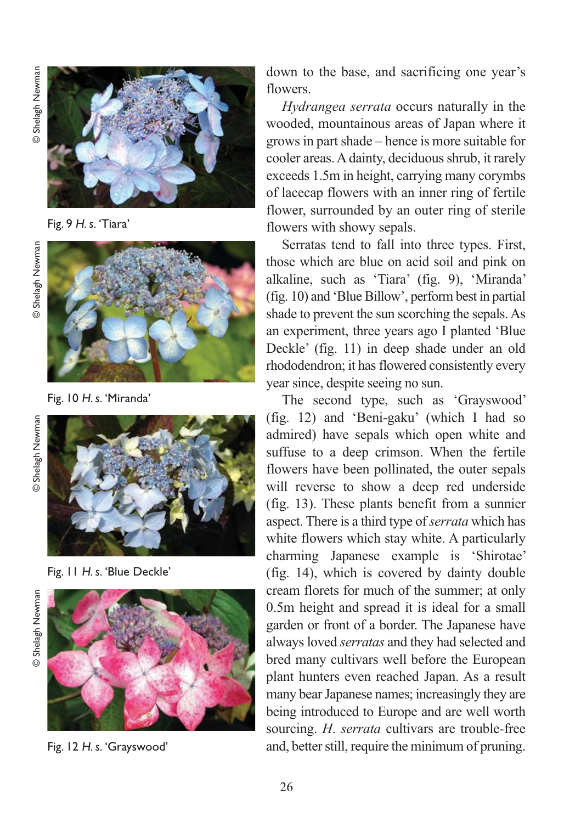Shelagh Newman © Shelagh Newman



Fig. 9 *H. s.* 'Tiara'



Fig. 10 *H. s.* 'Miranda'

Shelagh Newman © Shelagh Newman



Fig. 11 *H. s.* 'Blue Deckle'

© Shelagh Newman© Shelagh Newman



Fig. 12 *H. s.* 'Grayswood'

down to the base, and sacrificing one year's flowers.

*Hydrangea serrata* occurs naturally in the wooded, mountainous areas of Japan where it grows in part shade – hence is more suitable for cooler areas. A dainty, deciduous shrub, it rarely exceeds 1.5m in height, carrying many corymbs of lacecap flowers with an inner ring of fertile flower, surrounded by an outer ring of sterile flowers with showy sepals.

Serratas tend to fall into three types. First, those which are blue on acid soil and pink on alkaline, such as 'Tiara' (fig. 9), 'Miranda' (fig. 10) and 'Blue Billow', perform best in partial shade to prevent the sun scorching the sepals. As an experiment, three years ago I planted 'Blue Deckle' (fig. 11) in deep shade under an old rhododendron; it has flowered consistently every year since, despite seeing no sun.

The second type, such as 'Grayswood' (fig. 12) and 'Beni-gaku' (which I had so admired) have sepals which open white and suffuse to a deep crimson. When the fertile flowers have been pollinated, the outer sepals will reverse to show a deep red underside (fig. 13). These plants benefit from a sunnier aspect. There is a third type of *serrata* which has white flowers which stay white. A particularly charming Japanese example is 'Shirotae' (fig. 14), which is covered by dainty double cream florets for much of the summer; at only 0.5m height and spread it is ideal for a small garden or front of a border. The Japanese have always loved *serratas* and they had selected and bred many cultivars well before the European plant hunters even reached Japan. As a result many bear Japanese names; increasingly they are being introduced to Europe and are well worth sourcing. *H*. *serrata* cultivars are trouble *-*free and, better still, require the minimum of pruning.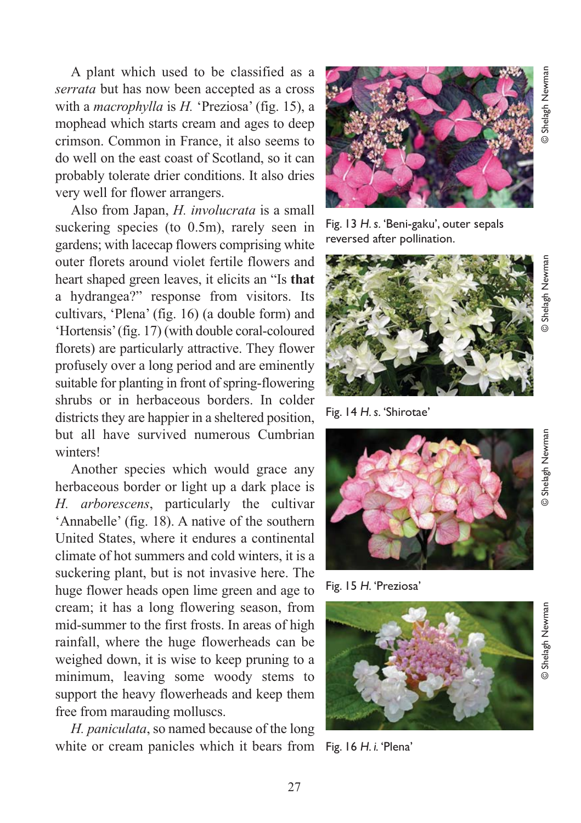A plant which used to be classified as a *serrata* but has now been accepted as a cross with a *macrophylla* is *H.* 'Preziosa' (fig. 15), a mophead which starts cream and ages to deep crimson. Common in France, it also seems to do well on the east coast of Scotland, so it can probably tolerate drier conditions. It also dries very well for flower arrangers.

Also from Japan, *H. involucrata* is a small suckering species (to 0.5m), rarely seen in gardens; with lacecap flowers comprising white outer florets around violet fertile flowers and heart shaped green leaves, it elicits an "Is **that** a hydrangea?" response from visitors. Its cultivars, 'Plena' (fig. 16) (a double form) and 'Hortensis' (fig. 17) (with double coral-coloured florets) are particularly attractive. They flower profusely over a long period and are eminently suitable for planting in front of spring-flowering shrubs or in herbaceous borders. In colder districts they are happier in a sheltered position, but all have survived numerous Cumbrian winters!

Another species which would grace any herbaceous border or light up a dark place is *H. arborescens*, particularly the cultivar 'Annabelle' (fig. 18). A native of the southern United States, where it endures a continental climate of hot summers and cold winters, it is a suckering plant, but is not invasive here. The huge flower heads open lime green and age to cream; it has a long flowering season, from mid-summer to the first frosts. In areas of high rainfall, where the huge flowerheads can be weighed down, it is wise to keep pruning to a minimum, leaving some woody stems to support the heavy flowerheads and keep them free from marauding molluscs.

*H. paniculata*, so named because of the long white or cream panicles which it bears from Fig. 16 *H. i.* 'Plena'



Fig. 13 *H. s.* 'Beni-gaku', outer sepals reversed after pollination.



Fig. 14 *H. s.* 'Shirotae'



Fig. 15 *H.* 'Preziosa'



Shelagh Newman © Shelagh Newman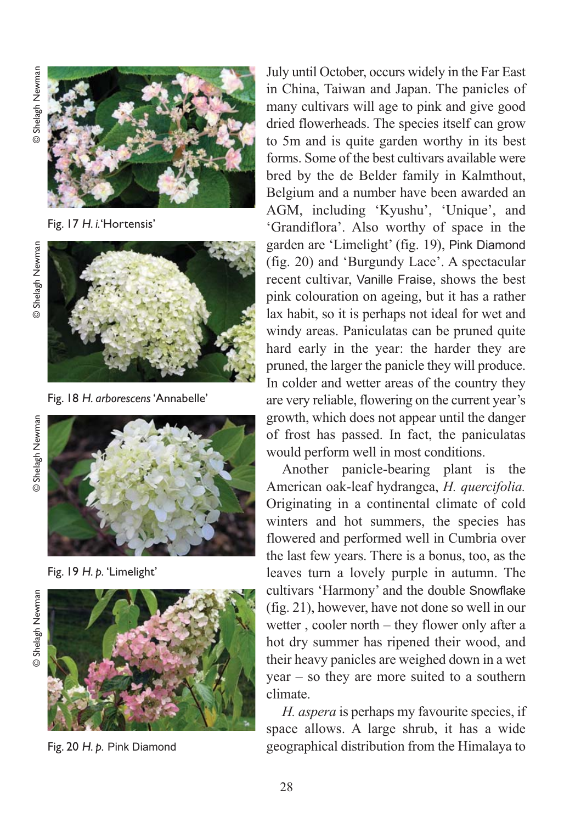

Fig. 17 *H. i.*'Hortensis'





Fig. 18 *H. arborescens* 'Annabelle'





Fig. 19 *H. p.* 'Limelight'



Fig. 20 *H. p.* Pink Diamond

July until October, occurs widely in the Far East in China, Taiwan and Japan. The panicles of many cultivars will age to pink and give good dried flowerheads. The species itself can grow to 5m and is quite garden worthy in its best forms. Some of the best cultivars available were bred by the de Belder family in Kalmthout, Belgium and a number have been awarded an AGM, including 'Kyushu', 'Unique', and 'Grandiflora'. Also worthy of space in the garden are 'Limelight' (fig. 19), Pink Diamond (fig. 20) and 'Burgundy Lace'. A spectacular recent cultivar, Vanille Fraise, shows the best pink colouration on ageing, but it has a rather lax habit, so it is perhaps not ideal for wet and windy areas. Paniculatas can be pruned quite hard early in the year: the harder they are pruned, the larger the panicle they will produce. In colder and wetter areas of the country they are very reliable, flowering on the current year's growth, which does not appear until the danger of frost has passed. In fact, the paniculatas would perform well in most conditions.

Another panicle-bearing plant is the American oak-leaf hydrangea, *H. quercifolia.* Originating in a continental climate of cold winters and hot summers, the species has flowered and performed well in Cumbria over the last few years. There is a bonus, too, as the leaves turn a lovely purple in autumn. The cultivars 'Harmony' and the double Snowflake (fig. 21), however, have not done so well in our wetter , cooler north – they flower only after a hot dry summer has ripened their wood, and their heavy panicles are weighed down in a wet year – so they are more suited to a southern climate.

*H. aspera* is perhaps my favourite species, if space allows. A large shrub, it has a wide geographical distribution from the Himalaya to